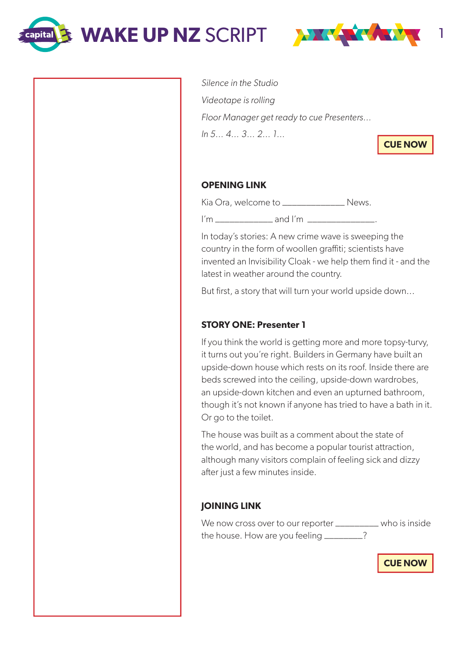WAKE UP NZ SCRIPT **WAKE WART** 

**Capital** 



Silence in the Studio Videotape is rolling Floor Manager get ready to cue Presenters… In 5… 4… 3… 2… 1…

**CUE NOW**

## **OPENING LINK**

Kia Ora, welcome to **\_\_\_\_\_\_\_\_\_\_\_\_\_** News.

I'm \_\_\_\_\_\_\_\_\_\_\_\_ and I'm \_\_\_\_\_\_\_\_\_\_\_\_\_\_.

In today's stories: A new crime wave is sweeping the country in the form of woollen graffiti; scientists have invented an Invisibility Cloak - we help them find it - and the latest in weather around the country.

But first, a story that will turn your world upside down...

# **STORY ONE: Presenter 1**

If you think the world is getting more and more topsy-turvy, it turns out you're right. Builders in Germany have built an upside-down house which rests on its roof. Inside there are beds screwed into the ceiling, upside-down wardrobes, an upside-down kitchen and even an upturned bathroom, though it's not known if anyone has tried to have a bath in it. Or go to the toilet.

The house was built as a comment about the state of the world, and has become a popular tourist attraction, although many visitors complain of feeling sick and dizzy after just a few minutes inside.

# **JOINING LINK**

We now cross over to our reporter \_\_\_\_\_\_\_\_\_ who is inside the house. How are you feeling \_\_\_\_\_\_\_?

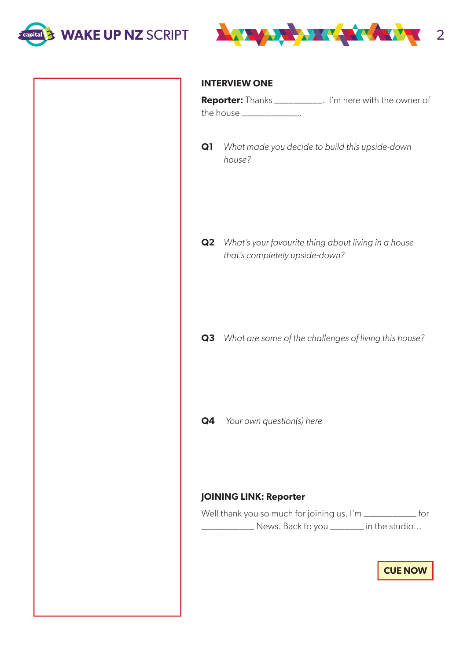



#### **INTERVIEW ONE**

| <b>Reporter:</b> Thanks ____________. | I'm here with the owner of |
|---------------------------------------|----------------------------|
| the house __                          |                            |

**Q1** What made you decide to build this upside-down house?

**Q2** What's your favourite thing about living in a house that's completely upside-down?

**Q3** What are some of the challenges of living this house?

**Q4** Your own question(s) here

### **JOINING LINK: Reporter**

Well thank you so much for joining us. I'm \_\_\_\_\_\_\_\_\_\_\_\_ for \_\_\_\_\_\_\_\_\_\_\_ News. Back to you \_\_\_\_\_\_\_ in the studio…

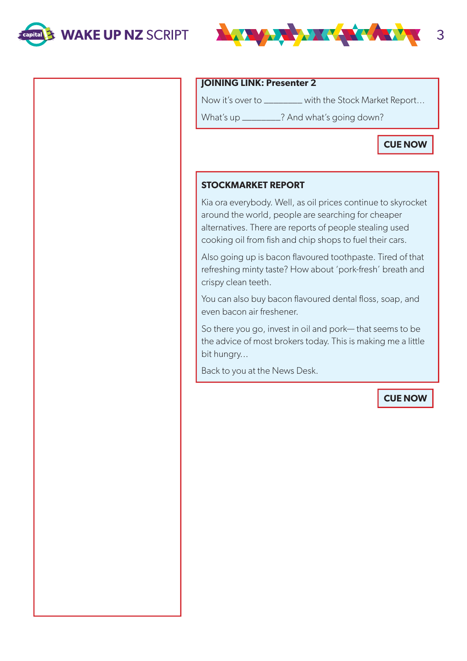



#### **JOINING LINK: Presenter 2**

Now it's over to \_\_\_\_\_\_\_\_ with the Stock Market Report…

What's up \_\_\_\_\_\_\_\_? And what's going down?

**CUE NOW**

### **STOCKMARKET REPORT**

Kia ora everybody. Well, as oil prices continue to skyrocket around the world, people are searching for cheaper alternatives. There are reports of people stealing used cooking oil from fish and chip shops to fuel their cars.

Also going up is bacon flavoured toothpaste. Tired of that refreshing minty taste? How about 'pork-fresh' breath and crispy clean teeth.

You can also buy bacon flavoured dental floss, soap, and even bacon air freshener.

So there you go, invest in oil and pork— that seems to be the advice of most brokers today. This is making me a little bit hungry...

Back to you at the News Desk.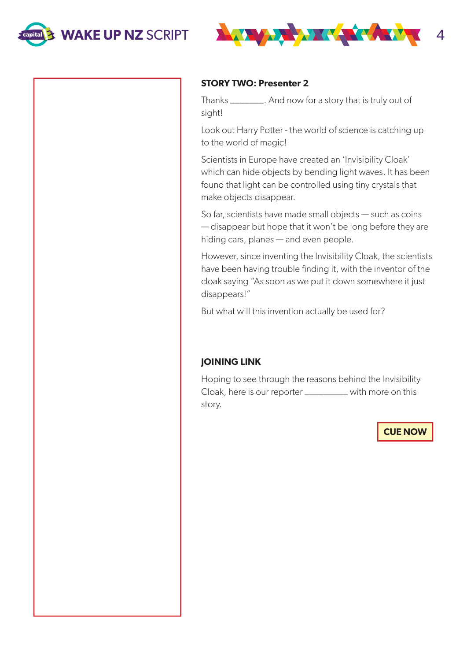



#### **STORY TWO: Presenter 2**

Thanks \_\_\_\_\_\_\_. And now for a story that is truly out of sight!

Look out Harry Potter - the world of science is catching up to the world of magic!

Scientists in Europe have created an 'Invisibility Cloak' which can hide objects by bending light waves. It has been found that light can be controlled using tiny crystals that make objects disappear.

So far, scientists have made small objects — such as coins — disappear but hope that it won't be long before they are hiding cars, planes — and even people.

However, since inventing the Invisibility Cloak, the scientists have been having trouble finding it, with the inventor of the cloak saying "As soon as we put it down somewhere it just disappears!"

But what will this invention actually be used for?

### **JOINING LINK**

Hoping to see through the reasons behind the Invisibility Cloak, here is our reporter \_\_\_\_\_\_\_\_\_ with more on this story.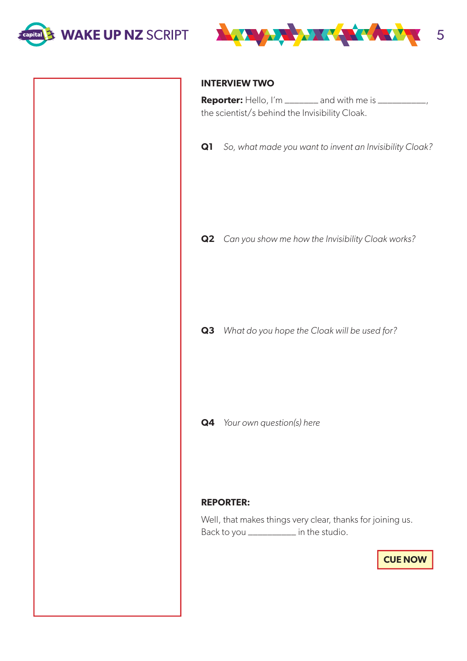



#### **INTERVIEW TWO**

**Reporter:** Hello, I'm \_\_\_\_\_\_\_ and with me is \_\_\_\_\_\_\_\_\_\_\_, the scientist/s behind the Invisibility Cloak.

**Q1** So, what made you want to invent an Invisibility Cloak?

**Q2** Can you show me how the Invisibility Cloak works?

**Q3** What do you hope the Cloak will be used for?

**Q4** Your own question(s) here

#### **REPORTER:**

Well, that makes things very clear, thanks for joining us. Back to you \_\_\_\_\_\_\_\_\_\_ in the studio.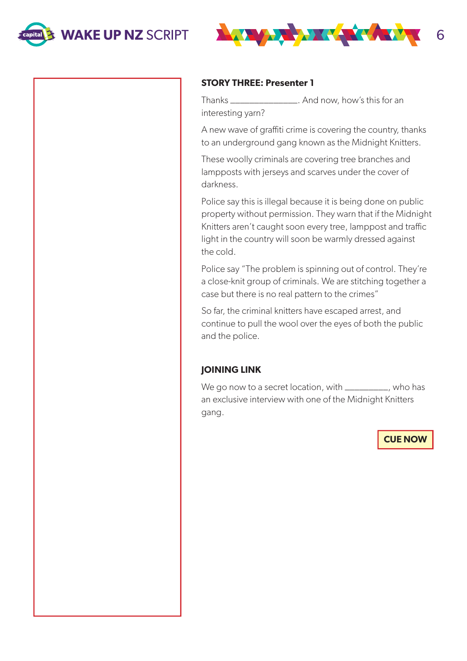



#### **STORY THREE: Presenter 1**

Thanks \_\_\_\_\_\_\_\_\_\_\_\_\_\_. And now, how's this for an interesting yarn?

A new wave of graffiti crime is covering the country, thanks to an underground gang known as the Midnight Knitters.

These woolly criminals are covering tree branches and lampposts with jerseys and scarves under the cover of darkness.

Police say this is illegal because it is being done on public property without permission. They warn that if the Midnight Knitters aren't caught soon every tree, lamppost and traffic light in the country will soon be warmly dressed against the cold.

Police say "The problem is spinning out of control. They're a close-knit group of criminals. We are stitching together a case but there is no real pattern to the crimes"

So far, the criminal knitters have escaped arrest, and continue to pull the wool over the eyes of both the public and the police.

### **JOINING LINK**

We go now to a secret location, with \_\_\_\_\_\_\_\_\_, who has an exclusive interview with one of the Midnight Knitters gang.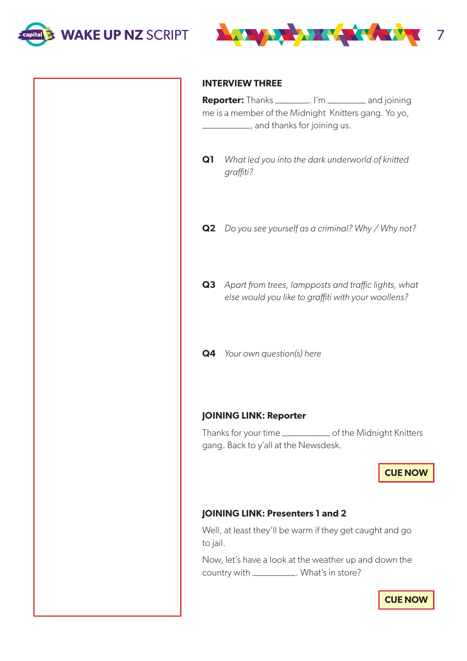



#### **INTERVIEW THREE**

**Reporter:** Thanks \_\_\_\_\_\_\_. I'm \_\_\_\_\_\_\_\_ and joining me is a member of the Midnight Knitters gang. Yo yo, \_\_\_\_\_\_\_\_\_\_, and thanks for joining us.

- **Q1** What led you into the dark underworld of knitted graffiti?
- **Q2** Do you see yourself as a criminal? Why / Why not?
- **Q3** Apart from trees, lampposts and traffic lights, what else would you like to graffiti with your woollens?
- **Q4** Your own question(s) here

#### **JOINING LINK: Reporter**

Thanks for your time \_\_\_\_\_\_\_\_\_\_ of the Midnight Knitters gang. Back to y'all at the Newsdesk.

**CUE NOW**

## **JOINING LINK: Presenters 1 and 2**

Well, at least they'll be warm if they get caught and go to jail.

Now, let's have a look at the weather up and down the country with \_\_\_\_\_\_\_\_\_. What's in store?

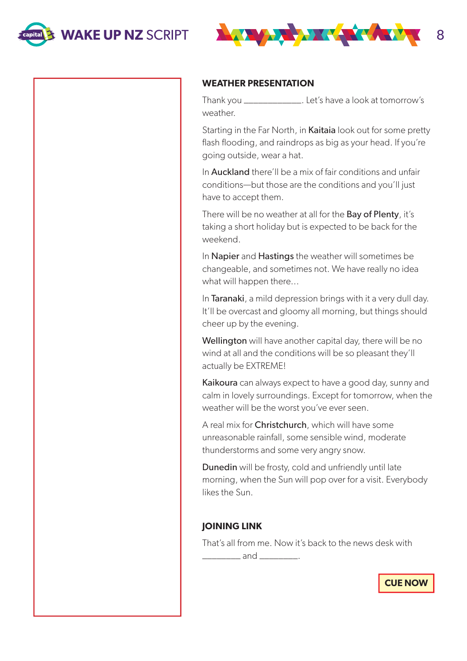



#### **WEATHER PRESENTATION**

Thank you \_\_\_\_\_\_\_\_\_\_\_\_. Let's have a look at tomorrow's weather.

Starting in the Far North, in Kaitaia look out for some pretty flash flooding, and raindrops as big as your head. If you're going outside, wear a hat.

In **Auckland** there'll be a mix of fair conditions and unfair conditions—but those are the conditions and you'll just have to accept them.

There will be no weather at all for the Bay of Plenty, it's taking a short holiday but is expected to be back for the weekend.

In **Napier** and **Hastings** the weather will sometimes be changeable, and sometimes not. We have really no idea what will happen there...

In Taranaki, a mild depression brings with it a very dull day. It'll be overcast and gloomy all morning, but things should cheer up by the evening.

Wellington will have another capital day, there will be no wind at all and the conditions will be so pleasant they'll actually be EXTREME!

Kaikoura can always expect to have a good day, sunny and calm in lovely surroundings. Except for tomorrow, when the weather will be the worst you've ever seen.

A real mix for Christchurch, which will have some unreasonable rainfall, some sensible wind, moderate thunderstorms and some very angry snow.

Dunedin will be frosty, cold and unfriendly until late morning, when the Sun will pop over for a visit. Everybody likes the Sun.

#### **JOINING LINK**

That's all from me. Now it's back to the news desk with \_\_\_\_\_\_\_\_ and \_\_\_\_\_\_\_\_.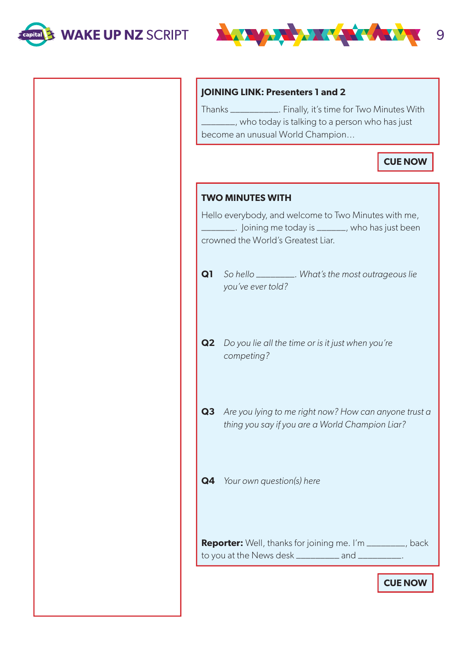



### **JOINING LINK: Presenters 1 and 2**

Thanks \_\_\_\_\_\_\_\_\_\_. Finally, it's time for Two Minutes With \_\_\_\_\_\_\_, who today is talking to a person who has just become an unusual World Champion…

**CUE NOW**

| <b>TWO MINUTES WITH</b>                                                                                                                                          |                                                                                                          |  |
|------------------------------------------------------------------------------------------------------------------------------------------------------------------|----------------------------------------------------------------------------------------------------------|--|
| Hello everybody, and welcome to Two Minutes with me,<br><u>__</u> _______. Joining me today is ________, who has just been<br>crowned the World's Greatest Liar. |                                                                                                          |  |
| Q1                                                                                                                                                               | So hello ___________. What's the most outrageous lie<br>you've ever told?                                |  |
| Q2                                                                                                                                                               | Do you lie all the time or is it just when you're<br>competing?                                          |  |
| Q3                                                                                                                                                               | Are you lying to me right now? How can anyone trust a<br>thing you say if you are a World Champion Liar? |  |
| Q4                                                                                                                                                               | Your own question(s) here                                                                                |  |
| <b>Reporter:</b> Well, thanks for joining me. I'm ________, back<br>to you at the News desk ___________ and ___                                                  |                                                                                                          |  |
|                                                                                                                                                                  |                                                                                                          |  |